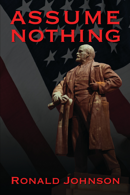## $\blacktriangle$ M C

# RONALD JOHNSON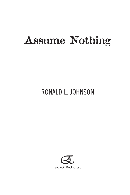# Assume Nothing

### RONALD L. JOHNSON

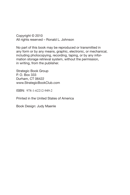Copyright © 2010 All rights reserved – Ronald L. Johnson

No part of this book may be reproduced or transmitted in any form or by any means, graphic, electronic, or mechanical, including photocopying, recording, taping, or by any information storage retrieval system, without the permission, in writing, from the publisher.

Strategic Book Group P. O. Box 333 Durham, CT 06422 www.StrategicBookClub.com

ISBN: 978-1-62212-949-2

Printed in the United States of America

Book Design: Judy Maenle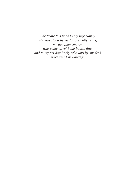*I dedicate this book to my wife Nancy who has stood by me for over fifty years, my daughter Sharon who came up with the book's title, and to my pet dog Rocky who lays by my desk whenever I'm working.*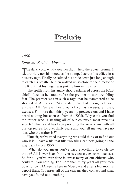### Prelude

#### *1990*

#### *Supreme Soviet—Moscow*

The dark, cold, windy weather didn't help the Soviet premier's arthritis, nor his mood, as he stomped across his office in a blustery rage. Finally he calmed his tirade down just long enough to catch his breath. He then walked up so close to the director of the KGB that his finger was poking him in the chest.

The spittle from his angry shouts splattered across the KGB chief's face, as he stood before the premier in stark trembling fear. The premier was in such a rage that he stammered as he shouted at Alexander. "Alexander, I've had enough of your excuses. All I've ever heard out of you is excuses, excuses, excuses. For more than thirty years my predecessors and I have heard nothing but excuses from the KGB. Why can't you find the traitor who is stealing all of our country's most precious secrets? This rascal has been providing the Americans with all our top secrets for over thirty years and you tell me you have no idea who the traitor is?"

"But sir, we've tried everything we could think of to find out who it is. I have a file that fills two filing cabinets going all the way back before 1950."

"What do you mean you've tried everything to catch the traitor? All I ever hear from you is excuses, excuses, excuses. So far all you've ever done is arrest many of our citizens who could tell you nothing. For more than thirty years all your men do is follow CIA agents here in Moscow and after a few months deport them. You arrest all of the citizens they contact and what have you found out—nothing.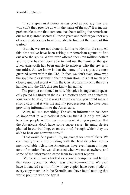"If your spies in America are as good as you say they are, why can't they provide us with the name of the spy? It is incomprehensible to me that someone has been telling the Americans our most guarded secrets all these years and neither you nor any of your predecessors have been able to find out the name of this traitor."

"But sir, we are not alone in failing to identify the spy. All this time we've have been asking our American agents to find out who the spy is. We've even offered them ten million dollars and no one has yet been able to find out the name of the spy. Even Ainsworth has been unable to uncover who the spy is in our midst. All we know is that the name of the spy is the most guarded secret within the CIA. In fact, we don't even know who the spy's handler is within their organization. It is that much of a closely guarded secret within the CIA. Apparently only the spy's handler and the CIA director know his name."

The premier continued to raise his voice in anger and repeatedly poked his finger in the KGB director's chest. In an incredulous voice he said, "If it wasn't so ridiculous, you could make a strong case that it was me and my predecessors who have been providing information to the Americans.

"Alex, tell me something. The stolen information has been so important to our national defense that it is only available to a few people within our government. Are you positive that the Americans don't have some super secret listening device planted in our building, or on the roof, through which they are able to hear our conversations?"

"That would be a possibility, sir, except for several facts. We continually check the building with the best detection equipment available. Also, the Americans have even learned important information that was discussed when we met elsewhere, and some of the information came from top secret reports.

"My people have checked everyone's computer and before that every typewriter ribbon was checked—nothing. We even have a detailed record of how many copies have been made on every copy machine in the Kremlin, and have found nothing that would point to who the spy is.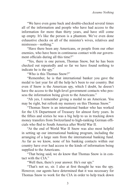"We have even gone back and double-checked several times all of the information and people who have had access to the information for more than thirty years, and have still come up empty. It's like the person is a phantom. We've even done exhaustive checks on all of the minister's wives, relatives and mistresses—nothing."

"Have there been any Americans, or people from our other enemies, who have been in continuous contact with our government officials during all this time?"

"Yes, there is one person, Thomas Snow, but he has been checked out repeatedly and so far we have found nothing to indicate he is the spy."

"Who is this Thomas Snow?"

"Remember, he is that international banker you gave the medal to last year for all the help he's been to our country. But even if Snow is the American spy, which I doubt, he doesn't have the access to the high-level government contacts who possess the information being given to the Americans."

"Ah yes, I remember giving a medal to an American. You may be right, but refresh my memory on this Thomas Snow."

"Thomas Snow is an international banker who has worked for the US Department of Treasury for almost forty years. In the fifties and sixties he was a big help to us in tracking down money transfers from Switzerland to high-ranking German officials who fled to South America after World War II.

"At the end of World War II Snow was also most helpful in setting up our international banking program, including the arranging of a large sum from the international banking fund. As far as we know, none of his banking contacts within our country have ever had access to the kinds of information being supplied to the Americans.

"That being said, we do know that Thomas Snow is in contact with the CIA."

"Well then, there's your answer. He's our spy."

"That's not so, sir. I also at first thought he was the spy. However, our agents have determined that it was necessary for Thomas Snow to work for the CIA in order to help track down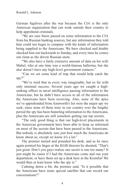German fugitives after the war because the CIA is the only American organization that can work outside their country to help apprehend criminals.

"We are sure Snow passed on some information to the CIA from his Russian banking sources, but any information they told him could not begin to compare with the kinds of information being supplied to the Americans. We have checked and double checked him out backwards to Sunday, and every time he comes out clean as the driven Russian snow.

"We also have a fairly extensive amount of data on his wife Mabel, who at one time was a world-famous ballerina, but she also doesn't have any high-level government contacts."

"Can we set some kind of trap that would help catch the spy?"

"We've tried that in every way imaginable, but so far with only minimal success. Several years ago we caught a highranking officer in naval intelligence passing information to the Americans, but he didn't have access to all of the information the Americans have been receiving. Also, none of the spies we've apprehended from Ainsworth's list were the major spy we seek, since none of them were in our country over the lengthy period the spy has been funneling information to the Americans, plus the Americans are still somehow getting our top secrets.

"The only good thing is that our high-level placements in the American government have been able to keep us informed on most of the secrets that have been passed to the Americans. But nobody is absolutely sure just how much the Americans do know about us, except we know it's a lot."

The premier turned and pounded his desk, and as he once again pointed his finger at the KGB director he shouted, "That's just great. Don't you guys realize one secret is one too many? It just might be easier if I had the Americans come and run your department, or have them set up a desk here in the Kremlin! We would then at least know who the spy is."

Calming down a bit, the premier said, "Is it possible that the Americans have some special satellite that can record our conversations?"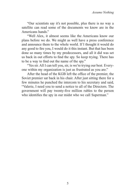"Our scientists say it's not possible, plus there is no way a satellite can read some of the documents we know are in the Americans hands."

"Well Alex, it almost seems like the Americans know our plans before we do. We might as well have a press conference and announce them to the whole world. If I thought it would do any good to fire you, I would do it this instant. But that has been done so many times by my predecessors, and all it did was set us back in out efforts to find the spy. So keep trying. There has to be a way to find out the name of the spy."

"Yes sir. All I can tell you, sir, is we're trying our best. Everyone within my organization is just as frustrated as you are."

After the head of the KGB left the office of the premier, the Soviet premier sat back in his chair. After just sitting there for a few minutes he punched the intercom to his secretary and said, "Valerie, I need you to send a notice to all of the Directors. The government will pay twenty-five million rubles to the person who identifies the spy in our midst who we call Superman."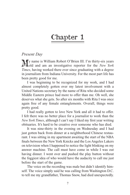### Chapter 1

#### *Present Day*

My name is William Robert O'Brien III. I'm thirty-six years Jold and am an investigative reporter for the *New York Times*, having worked there ever since graduating with a degree in journalism from Indiana University. For the most part life has been pretty good for me.

I was beginning to be recognized for my work, and I had almost completely gotten over my latest involvement with a United Nations secretary by the name of Rita who decided some Middle Eastern prince had more to offer than me. Oh well, she deserves what she gets. So after six months with Rita I was once again free of any female entanglements. Overall, things were pretty good.

I had really gotten to love New York and all it had to offer. I felt there was no better place for a journalist to work than the *New York Times*, although I can't say I liked my first year writing obituaries. It's hard to be creative over someone who has died.

It was nine-thirty in the evening on Wednesday and I had just gotten back from dinner at a neighborhood Chinese restaurant. I was sitting in my apartment awaiting the start of the NBA finals between the New York Knicks and the Los Angeles Lakers on television when I happened to notice the light blinking on my answer machine. The call must have come in while I was out having dinner. I went over and pushed the play button without the foggiest idea of who would have the audacity to call me just before the start of the game.

The voice on the recording was male but didn't identify himself. The voice simply said he was calling from Washington D.C. to tell me my grandfather, Thomas Snow, had died unexpectedly.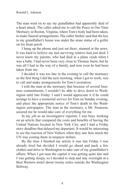The man went on to say my grandfather had apparently died of a heart attack. The caller asked me to call the Peace in Our Time Mortuary in Reston, Virginia, where Tom's body had been taken, to make funeral arrangements. The caller further said that the key to my grandfather's house was under the stone statue of a golfer on his front porch.

I hung up the phone and just sat there, stunned at the news. It was hard to believe my last surviving relative had just died. I never knew my parents, who had died in a plane crash when I was a baby. I had never been very close to Thomas Snow, but he was all I had in the way of a family, and now even he had been taken from me.

I decided it was too late in the evening to call the mortuary so the first thing I did the next morning, when I got to work, was to call and make arrangements for Tom's cremation.

I told the man at the mortuary that because of several business commitments, I wouldn't be able to drive down to Washington until late Friday. I said I would appreciate it if he could arrange to have a memorial service for Tom on Sunday evening, and place the appropriate notice of Tom's death in the Washington newspapers. The man at the mortuary, a Mr. Swanson, assured me he would take care of everything for me.

In my job as an investigative reporter, I was busy working on an article that compared the costs and benefits of having the United Nations located in New York City, and I had a Friday story deadline that delayed my departure. It would be interesting to see the reaction of New Yorkers when they saw how much the UN was costing them in taxpayer dollars.

By the time I finished my article it was late Friday. I was already tired but decided I would go ahead and pack a few clothes and drive to Washington to take care of my grandfather's affairs. When I got near the capital it was getting quite late and I was getting sleepy, so I decided to stop and stay overnight at a Best Western motel about twenty miles outside the Washington Beltway.